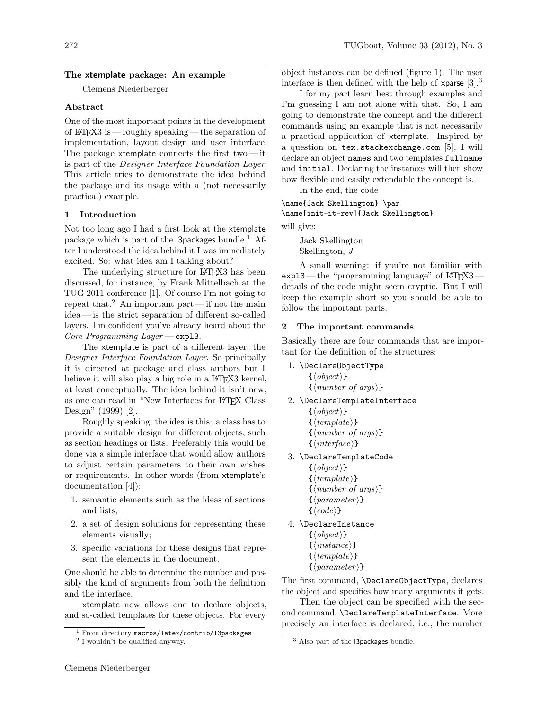### The xtemplate package: An example

Clemens Niederberger

#### Abstract

One of the most important points in the development of LATEX3 is — roughly speaking — the separation of implementation, layout design and user interface. The package xtemplate connects the first two—it is part of the Designer Interface Foundation Layer. This article tries to demonstrate the idea behind the package and its usage with a (not necessarily practical) example.

#### 1 Introduction

Not too long ago I had a first look at the xtemplate package which is part of the  $\beta$  and  $\alpha$ <sup>1</sup> After I understood the idea behind it I was immediately excited. So: what idea am I talking about?

The underlying structure for LAT<sub>EX3</sub> has been discussed, for instance, by Frank Mittelbach at the TUG 2011 conference [1]. Of course I'm not going to repeat that.<sup>2</sup> An important part—if not the main idea— is the strict separation of different so-called layers. I'm confident you've already heard about the Core Programming Layer — exp13.

The xtemplate is part of a different layer, the Designer Interface Foundation Layer. So principally it is directed at package and class authors but I believe it will also play a big role in a LATEX3 kernel, at least conceptually. The idea behind it isn't new, as one can read in "New Interfaces for IATFX Class Design" (1999) [2].

Roughly speaking, the idea is this: a class has to provide a suitable design for different objects, such as section headings or lists. Preferably this would be done via a simple interface that would allow authors to adjust certain parameters to their own wishes or requirements. In other words (from xtemplate's documentation [4]):

- 1. semantic elements such as the ideas of sections and lists;
- 2. a set of design solutions for representing these elements visually;
- 3. specific variations for these designs that represent the elements in the document.

One should be able to determine the number and possibly the kind of arguments from both the definition and the interface.

xtemplate now allows one to declare objects, and so-called templates for these objects. For every object instances can be defined (figure 1). The user interface is then defined with the help of xparse  $[3].<sup>3</sup>$ 

I for my part learn best through examples and I'm guessing I am not alone with that. So, I am going to demonstrate the concept and the different commands using an example that is not necessarily a practical application of xtemplate. Inspired by a question on tex.stackexchange.com [5], I will declare an object names and two templates fullname and initial. Declaring the instances will then show how flexible and easily extendable the concept is.

In the end, the code

```
\name{Jack Skellington} \par
\name[init-it-rev]{Jack Skellington}
```
will give:

Jack Skellington Skellington, J.

A small warning: if you're not familiar with  $exp13$ — the "programming language" of LAT<sub>E</sub>X3 details of the code might seem cryptic. But I will keep the example short so you should be able to follow the important parts.

### 2 The important commands

Basically there are four commands that are important for the definition of the structures:

- 1. \DeclareObjectType  $\{\langle \text{object} \rangle\}$  $\{\langle number \space of \space args \rangle\}$
- 2. \DeclareTemplateInterface
	- $\{\langle \text{object} \rangle\}$  $\{\langle template \rangle\}$  $\{\langle number \ of \ args \rangle\}$  $\{\langle \text{interface} \rangle\}$
- 3. \DeclareTemplateCode
	- $\{\langle \text{object} \rangle\}$  $\{\langle template \rangle\}$  $\{\langle number \ of \ args \rangle\}$  $\{\langle parameter \rangle\}$
	- $\{\langle code \rangle\}$
- 4. \DeclareInstance  $\{\langle object \rangle\}$ 
	- $\{\langle instance \rangle\}$  $\{\langle template \rangle\}$
	- $\{\langle parameter \rangle\}$

The first command, \DeclareObjectType, declares the object and specifies how many arguments it gets.

Then the object can be specified with the second command, \DeclareTemplateInterface. More precisely an interface is declared, i.e., the number

 $1$  From directory macros/latex/contrib/13packages

<sup>2</sup> I wouldn't be qualified anyway.

<sup>3</sup> Also part of the l3packages bundle.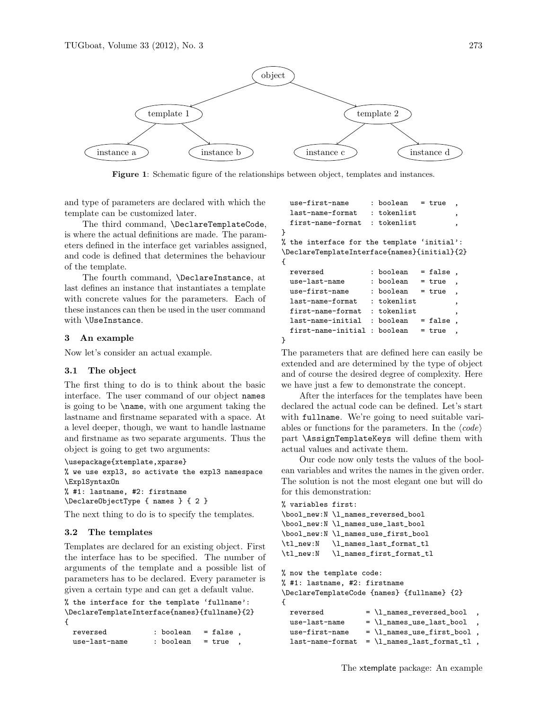

Figure 1: Schematic figure of the relationships between object, templates and instances.

and type of parameters are declared with which the template can be customized later.

The third command, \DeclareTemplateCode, is where the actual definitions are made. The parameters defined in the interface get variables assigned, and code is defined that determines the behaviour of the template.

The fourth command, \DeclareInstance, at last defines an instance that instantiates a template with concrete values for the parameters. Each of these instances can then be used in the user command with \UseInstance.

### 3 An example

Now let's consider an actual example.

#### 3.1 The object

The first thing to do is to think about the basic interface. The user command of our object names is going to be \name, with one argument taking the lastname and firstname separated with a space. At a level deeper, though, we want to handle lastname and firstname as two separate arguments. Thus the object is going to get two arguments:

```
\usepackage{xtemplate,xparse}
% we use expl3, so activate the expl3 namespace
\ExplSyntaxOn
```

```
% #1: lastname, #2: firstname
\DeclareObjectType { names } { 2 }
```
The next thing to do is to specify the templates.

#### 3.2 The templates

Templates are declared for an existing object. First the interface has to be specified. The number of arguments of the template and a possible list of parameters has to be declared. Every parameter is given a certain type and can get a default value.

```
% the interface for the template 'fullname':
\DeclareTemplateInterface{names}{fullname}{2}
{
  \alpha
```

| reversea      | : poolean | $-$ raise, |  |
|---------------|-----------|------------|--|
| use-last-name | : boolean | = true     |  |

```
use-first-name : boolean = true
 last-name-format : tokenlist
 first-name-format : tokenlist
}
% the interface for the template 'initial':
\DeclareTemplateInterface{names}{initial}{2}
{
 reversed : boolean = false
 use-last-name : boolean = true
 use-first-name : boolean = true
 last-name-format ; tokenlist
 first-name-format : tokenlist ,
 last-name-inital : boolean = falsefirst-name-initial : boolean = true
```

```
}
```
The parameters that are defined here can easily be extended and are determined by the type of object and of course the desired degree of complexity. Here we have just a few to demonstrate the concept.

After the interfaces for the templates have been declared the actual code can be defined. Let's start with fullname. We're going to need suitable variables or functions for the parameters. In the  $\langle code \rangle$ part \AssignTemplateKeys will define them with actual values and activate them.

Our code now only tests the values of the boolean variables and writes the names in the given order. The solution is not the most elegant one but will do for this demonstration:

```
% variables first:
\bool_new:N \l_names_reversed_bool
\bool_new:N \l_names_use_last_bool
\bool_new:N \l_names_use_first_bool
\tl_new:N \l_names_last_format_tl
\tl_new:N \l_names_first_format_tl
% now the template code:
% #1: lastname, #2: firstname
\DeclareTemplateCode {names} {fullname} {2}
{
   reversed = \lceil \frac{\text{max-reversed\_bool}}{\text{max}} \rceiluse-last-name = \lceil \frac{1}{name} \rceil, \ldots, \lceil \frac{1}{name} \rceil, \ldots, \lceil \frac{1}{name} \rceil, \ldots, \lceil \frac{1}{name} \rceil, \ldots, \lceil \frac{1}{name} \rceil, \ldots, \lceil \frac{1}{name} \rceil, \ldots, \lceil \frac{1}{name} \rceil, \ldots, \lceil \frac{1}{name} \rceil, \ldots, \lceil \frac{1}{name} \rceil, \ldots, \lceil \frac{1}{name} \rceil, \ldots, \lceil \frac{1}{name} \rceil, \ldots, \lceil \frac{1}{name} \rceil, \ldots,use-first-name = \lceil_names\_use\_first\_bool \rceillast-name-format = \lceil \text{names}\_last-format\_tl,
```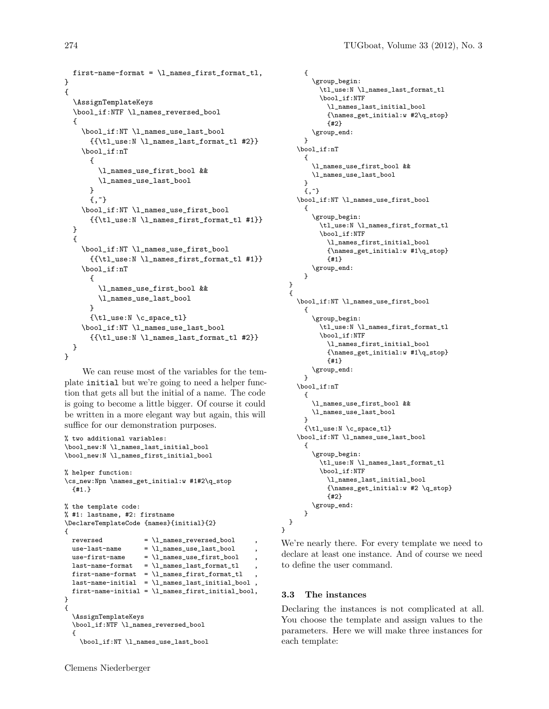```
first-name-format = \l_names_first_format_tl,
}
{
  \AssignTemplateKeys
  \bool_if:NTF \l_names_reversed_bool
  {
    \bool_if:NT \l_names_use_last_bool
      {{\tl_use:N \l_names_last_format_tl #2}}
    \bool_if:nT
      {
        \l_names_use_first_bool &&
        \l_names_use_last_bool
      }
      {,^{\sim}}\bool_if:NT \l_names_use_first_bool
      {{\tl_use:N \l_names_first_format_tl #1}}
 }
  {
    \bool_if:NT \l_names_use_first_bool
      {{\tl_use:N \l_names_first_format_tl #1}}
    \bool_if:nT
      {
        \l_names_use_first_bool &&
        \l_names_use_last_bool
      }
      {\tl_use:N \c_space_tl}
    \bool_if:NT \l_names_use_last_bool
      {{\tl_use:N \l_names_last_format_tl #2}}
 }
}
```
We can reuse most of the variables for the template initial but we're going to need a helper function that gets all but the initial of a name. The code is going to become a little bigger. Of course it could be written in a more elegant way but again, this will suffice for our demonstration purposes.

```
% two additional variables:
\bool_new:N \l_names_last_initial_bool
\bool_new:N \l_names_first_initial_bool
% helper function:
\cs_new:Npn \names_get_initial:w #1#2\q_stop
  {#1.}
% the template code:
% #1: lastname, #2: firstname
\DeclareTemplateCode {names}{initial}{2}
{
  reversed = \lceil \frac{1_{names\_reversed\_bool}}{\rceil}use-last-name = \l_names_use_last_bool ,
  use-first-name = \l_names_use_first_bool ,
  \verb|last-name-format = \verb|\l_name_s-last_format_t|,first-name-format = \lceil \cdot \cdot \cdot \rfloor , next\_format\verb|last-name-inital = \lnames_last_inital_bool|first-name-initial = \lceil \cdot \rceil -names_first_initial_bool,
}
{
  \AssignTemplateKeys
  \bool_if:NTF \l_names_reversed_bool
  {
    \bool_if:NT \l_names_use_last_bool
```

```
Clemens Niederberger
```

```
{
      \group_begin:
        \tl_use:N \l_names_last_format_tl
        \bool_if:NTF
          \l_names_last_initial_bool
          {\names_get_initial:w #2\q_stop}
          {#2}
      \group_end:
    }
  \bool_if:nT
    {
      \l_names_use_first_bool &&
      \l_names_use_last_bool
    }
    {,^7}\bool_if:NT \l_names_use_first_bool
    {
      \group_begin:
        \tl_use:N \l_names_first_format_tl
        \bool_if:NTF
          \l_names_first_initial_bool
          {\names_get_initial:w #1\q_stop}
          {#1}
      \group_end:
    }
}
{
  \bool_if:NT \l_names_use_first_bool
    {
      \group_begin:
        \tl_use:N \l_names_first_format_tl
        \bool_if:NTF
          \l_names_first_initial_bool
          {\names_get_initial:w #1\q_stop}
          {#1}
      \group_end:
    }
  \bool_if:nT
    {
      \l_names_use_first_bool &&
      \l_names_use_last_bool
    }
    {\tl_use:N \c_space_tl}
  \bool_if:NT \l_names_use_last_bool
    {
      \group_begin:
        \tl_use:N \l_names_last_format_tl
        \bool_if:NTF
          \l_names_last_initial_bool
          {\names_get_initial:w #2 \q_stop}
          {#2}
      \group_end:
    }
}
```
We're nearly there. For every template we need to declare at least one instance. And of course we need to define the user command.

#### 3.3 The instances

}

Declaring the instances is not complicated at all. You choose the template and assign values to the parameters. Here we will make three instances for each template: